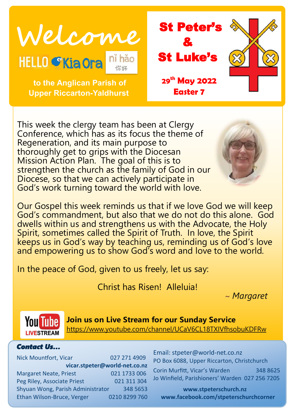



 **to the Anglican Parish of Upper Riccarton-Yaldhurst**

This week the clergy team has been at Clergy Conference, which has as its focus the theme of Regeneration, and its main purpose to thoroughly get to grips with the Diocesan Mission Action Plan. The goal of this is to strengthen the church as the family of God in our Diocese, so that we can actively participate in God's work turning toward the world with love.

Our Gospel this week reminds us that if we love God we will keep God's commandment, but also that we do not do this alone. God dwells within us and strengthens us with the Advocate, the Holy Spirit, sometimes called the Spirit of Truth. In love, the Spirit keeps us in God's way by teaching us, reminding us of God's love and empowering us to show God's word and love to the world.

In the peace of God, given to us freely, let us say:

Christ has Risen! Alleluia!

~ *Margaret*



**Join us on Live Stream for our Sunday Service** <https://www.youtube.com/channel/UCaV6CL18TXIVfhsobuKDFRw>

#### *Contact Us…*

Nick Mountfort, Vicar 027 271 4909 **vicar.stpeter@world-net.co.nz** Margaret Neate, Priest 021 1733 006 Peg Riley, Associate Priest 021 311 304 Shyuan Wong, Parish Administrator 348 5653 Ethan Wilson-Bruce, Verger 0210 8299 760 Email: stpeter@world-net.co.nz PO Box 6088, Upper Riccarton, Christchurch

Corin Murfitt, Vicar's Warden 348 8625 Jo Winfield, Parishioners' Warden 027 256 7205

**www.stpeterschurch.nz www.facebook.com/stpeterschurchcorner**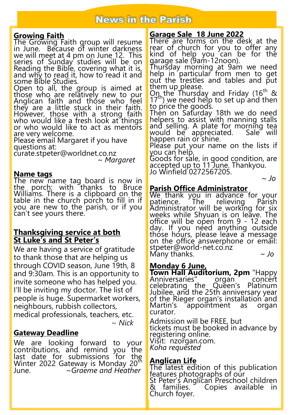# **News in the Parish**

### **Growing Faith**

The Growing Faith group will resume in June. Because of winter darkness we will meet at 4 pm on June 12. This series of Sunday studies will be on Reading the Bible, covering what it is, and why to read it, how to read it and some Bible Studies.

Open to all, the group is aimed at those who are relatively new to our Anglican faith and those who feel they are a little stuck in their faith. However, those with a strong faith who would like a fresh look at things or who would like to act as mentors are very welcome.

Please email Margaret if you have questions at:

curate.stpeter@worldnet.co.nz ~ *Margaret*

### **Name tags**

The new name tag board is now in the porch: with thanks to Bruce Williams. There is a clipboard on the table in the church porch to fill in if you are new to the parish, or if you can't see yours there.

#### **Thanksgiving service at both St Luke's and St Peter's**

We are having a service of gratitude to thank those that are helping us through COVID season, June 19th, 8 and 9:30am. This is an opportunity to invite someone who has helped you. I'll be inviting my doctor. The list of people is huge. Supermarket workers, neighbours, rubbish collectors, medical professionals, teachers, etc. ~ *Nick*

### **Gateway Deadline**

We are looking forward to your contributions, and remind you the last date for submissions for the Winter 2022 Gateway is Monday 20<sup>th</sup> June. ~*Graeme and Heather*

## **Garage Sale 18 June 2022**

There are forms on the desk at the rear of church for you to offer any kind of help you can be for the garage sale (9am-12noon).

Thursday morning at 9am we need help in particular from men to get out the trestles and tables and put them up please.

 $Q_{\eta_{\rm h}}$ the Thursday and Friday (16<sup>th</sup> &  $17<sup>th</sup>$ ) we need help to set up and then to price the goods.

Then on Saturday 18th we do need helpers to assist with manning stalls and selling. A plate for morning tea would be appreciated. happen rain or shine.

Please put your name on the lists if you can help.

Goods for sale, in good condition, are accepted up to 11 June. Thankyou. Jo Winfield 0272567205.

~ *Jo*

## **Parish Office Administrator**

We thank you in advance for your<br>patience. The relieving Parish patience. Administrator will be working for six weeks while Shyuan is on leave. The office will be open from 9 - 12 each day. If you need anything outside thóse hóurs, please leave a message on the office answerphone or email: stpeter@world-net.co.nz Many thanks. *~ Jo*

## **Monday 6 June,**

**Town Hall Auditorium, 2pm** "Happy Anniversaries" organ celebrating the Queen's Platinum Jubilee, and the 25th anniversary year of the Rieger organ's installation and Martin's appointment as organ curator.

Admission will be FREE, but tickets must be booked in advance by registering online. Visit: nzorgan.com. *Koha requested*

## **Anglican Life**

The latest edition of this publication features photographs of our St Peter's Anglican Preschool children & families. Copies available in Church foyer.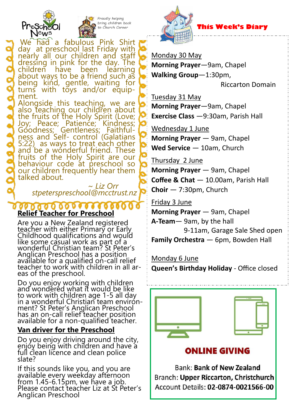



Proudly helping bring children back Church Corner



## **This Week's Diary**

Monday 30 May

**Morning Prayer**—9am, Chapel **Walking Group**—1:30pm,

Riccarton Domain

Tuesday 31 May **Morning Prayer**—9am, Chapel **Exercise Class** —9:30am, Parish Hall

Wednesday 1 June

**Morning Prayer** — 9am, Chapel **Wed Service** — 10am, Church

Thursday 2 June **Morning Prayer** — 9am, Chapel **Coffee & Chat** — 10.00am, Parish Hall **Choir** — 7:30pm, Church

Friday 3 June **Morning Prayer** — 9am, Chapel **A-Team**— 9am, by the hall 9-11am, Garage Sale Shed open **Family Orchestra** — 6pm, Bowden Hall

Monday 6 June **Queen's Birthday Holiday** - Office closed



**ONLINE GIVING** 

**Bank: Bank of New Zealand** Branch: Upper Riccarton, Christchurch Account Details: 02-0874-0021566-00

We had a fabulous Pink Shirt day at preschool last Friday with nearly all our children and staff dressing in pink for the day. The<br>children have been learning children about ways to be a friend such as being kind, gentle, waiting for turns with toys and/or equipment.

Alongside this teaching, we are also teaching our children about the fruits of the Holy Spirit (Love; Joy; Peace; Patience; Kindness; Goodness; Gentleness; Faithfulness and Self- control (Galatians 5:22) as ways to treat each other and be a wonderful friend. These fruits of the Holy Spirit are our behaviour code at preschool so our children frequently hear them talked about.

 ~ *Liz Orr stpeterspreschool@mcctrust.nz*

#### **Relief Teacher for Preschool**

Are you a New Zealand registered teacher with either Primary or Early Childhood qualifications and would like some casual work as part of a wonderful Christian team? St Peter's Anglican Preschool has a position available for a qualified on-call relief teacher to work with children in all areas of the preschool.

Do you enjoy working with children and wondered what it would be like to work with children age 1-5 all day in a wonderful Christian team envirónment? St Peter's Anglican Preschool has an on-call relief teacher position available for a non-qualified teacher.

# **Van driver for the Preschool**

Do you enjoy driving around the city, enjoy being with children and have a full clean licence and clean police slate?

If this sounds like you, and you are available every weekday afternoon from 1.45-6.15pm, we have a job. Please contact teacher Liz at St Peter's Anglican Preschool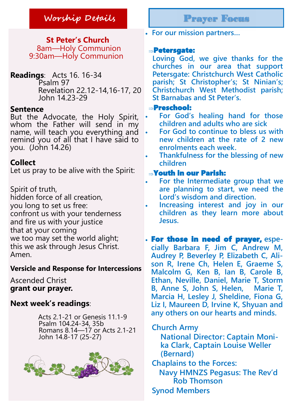**St Peter's Church** 8am—Holy Communion 9:30am—Holy Communion

**Readings**: Acts 16. 16-34 Psalm 97 Revelation 22.12-14,16-17, 20 John 14.23-29

### **Sentence**

But the Advocate, the Holy Spirit, whom the Father will send in my name, will teach you everything and remind you of all that I have said to you. (John 14.26)

## **Collect**

Let us pray to be alive with the Spirit:

Spirit of truth, hidden force of all creation, you long to set us free: confront us with your tenderness and fire us with your justice that at your coming we too may set the world alight; this we ask through Jesus Christ. Amen.

### **Versicle and Response for Intercessions**

Ascended Christ **grant our prayer.**

## **Next week's readings**:

 Acts 2.1-21 or Genesis 11.1-9 Psalm 104.24-34, 35b Romans 8.14—17 or Acts 2.1-21 John 14.8-17 (25-27)

![](_page_3_Picture_13.jpeg)

**For our mission partners…**

### Petersgate:

**Loving God, we give thanks for the churches in our area that support Petersgate: Christchurch West Catholic parish; St Christopher's; St Ninian's; Christchurch West Methodist parish; St Barnabas and St Peter's.**

### Preschool:

- **For God's healing hand for those children and adults who are sick**
- **For God to continue to bless us with new children at the rate of 2 new enrolments each week.**
- **Thankfulness for the blessing of new children**

### Youth in our Parish:

- **For the Intermediate group that we are planning to start, we need the Lord's wisdom and direction.**
- **Increasing interest and joy in our children as they learn more about Jesus.**

 For those in need of prayer, **especially Barbara F, Jim C, Andrew M, Audrey P, Beverley P, Elizabeth C, Alison R, Irene Ch, Helen E, Graeme S, Malcolm G, Ken B, Ian B, Carole B, Ethan, Neville, Daniel, Marie T, Storm B, Anne S, John S, Helen, Marie T, Marcia H, Lesley J, Sheldine, Fiona G,**  Liz I, Maureen D, Irvine K, Shyuan and **any others on our hearts and minds.** 

 **Church Army** 

**National Director: Captain Monika Clark, Captain Louise Weller (Bernard)** 

**Chaplains to the Forces:** 

**Navy HMNZS Pegasus: The Rev'd Rob Thomson** 

**Synod Members**